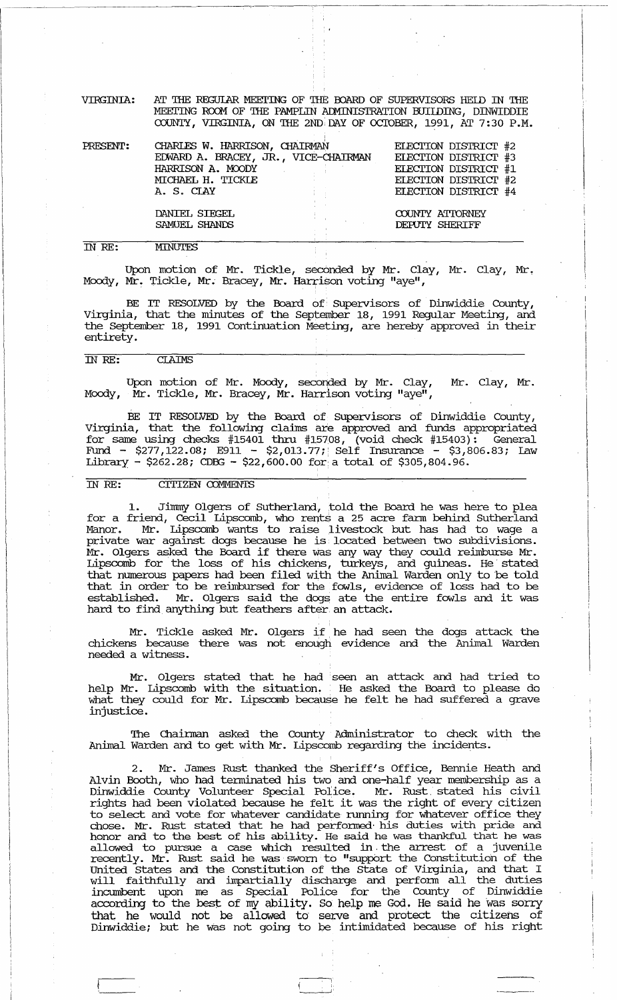VIRGINIA: AT THE REGUIAR MEETING OF THE BOARD OF SUPERVISORS HEID IN THE MEETING ROOM OF THE PAMPLIN ADMINISTRATION BUIIDING, DINWIDDIE COUNTY, VIRGINIA, ON THE 2ND DAY OF OCTOBER, 1991, AT 7:30 P.M.

, .

| PRESENT: | CHARLES W. HARRISON, CHAIRMAN        | ELECTION DISTRICT #2<br>ELECTION DISTRICT #3<br>ELECTION DISTRICT #1<br>ELECTION DISTRICT #2<br>ELECTION DISTRICT #4 |  |  |  |
|----------|--------------------------------------|----------------------------------------------------------------------------------------------------------------------|--|--|--|
|          | EDWARD A. BRACEY, JR., VICE-CHAIRMAN |                                                                                                                      |  |  |  |
|          | HARRISON A. MOODY                    |                                                                                                                      |  |  |  |
|          | MICHAEL H. TICKLE                    |                                                                                                                      |  |  |  |
|          | A. S. CIAY<br><b>Contract</b>        |                                                                                                                      |  |  |  |
|          | DANIEL SIEGEL                        | COUNTY ATTORNEY                                                                                                      |  |  |  |
|          | SAMUEL SHANDS                        | DEPUTY SHERIFF                                                                                                       |  |  |  |
| TN RE:   | <b>MINUTES</b>                       |                                                                                                                      |  |  |  |

 $\overline{INRE:}$ 

Upon motion of Mr. Tickle, seconded by Mr. Clay, Mr. Clay, Mr. Moody, Mr. Tickle, Mr. Bracey, Mr. Harrison voting "aye",

BE IT RESOLVED by the Board of· Supervisors of Dinwiddie County, Virginia, that the minutes of the September 18, 1991 Regular Meeting, and the September 18, 1991 Continuation Meeting, are hereby approved in their entirety.

#### ill *RE:* CIAIMS

Upon motion of Mr. Moody, seconded by Mr. Clay, Moody,  $\tilde{M}$ r. Tickle, Mr. Bracey,  $\tilde{M}$ r. Harrison voting "aye", Mr. Clay, Mr .

BE IT RESOLVED by the Board of Supervisors of Dinwiddie County, Virginia, that the following claims are approved and funds appropriated for same using checks #15401 thru #15708, (void check #15403): General Fund - \$277,122.08; E911 - \$2,013.77; Self Insurance - \$3,806.83; Law Library - \$262.28; CDBG - \$22,600.00 for a total of \$305,804.96.

## IN RE: CITIZEN COMMENTS

1. Jimmy Olgers of Sutherland, told the Board he was here to plea for a friend,  $\text{c}\text{ceil}$  Lipscomb, who rents a 25 acre farm behind Sutherland manor. Mr. Lipscomb wants to raise livestock but has had to wage a private war against dogs because he is located between two subdivisions. Mr. Olgers asked the Board if there was any way they could reimburse Mr. Lipscomb for the loss of his chickens, turkeys, and guineas. He' stated that nmnerous papers had been filed with the Animal Warden only to 'be told that in order to be reimbursed for the fowls, evidence of loss had to be established. Mr. Olgers said the dogs ate the entire fowls and it was hard to find anything but feathers after an attack.

Mr. Tickle asked Mr. Olgers if, he had seen the dogs attack the chickens because there was not enough evidence and the Animal Warden needed a witness.

Mr. Olgers stated that he had seen an attack and had tried to help Mr. Lipscomb with the situation. He asked the Board to please do what they could for Mr. Lipscomb because he felt he had suffered a grave injustice.

The Chairman asked the County Administrator to check with the Animal Warden and to get with Mr. Lipscomb regarding the incidents.

2. Mr. James Rust thanked the Sheriff's Office, Bennie Heath and Alvin Booth, who had tenninated his two and one-half year membership as a Dinwiddie County Volunteer Special Police. Mr. Rust. stated his civil rights had been violated because he felt it was the right of every citizen to select and vote for whatever candidate running for whatever office they chose. Mr. Rust stated that he had performed' his duties with pride and honor and to the best of his ability. He said he was thankful that he was allowed to pursue a case which resulted in the arrest of a juvenile recently. Mr. Rust said he was sworn to "suppbrt the Constitution of the united states and the constitution of the State of Virginia, and that I will faithfully and impartially discharge and perfonn all the duties incumbent upon me as Special Police for the County of Dinwiddie according to the best of my ability. So help me God. He said he Was sorry that he would not be allowed to' serve and protect the citizens of Dinwiddie; but he was not going to be intimidated because of his right

 $\begin{pmatrix} 1 & 1 \\ 1 & 1 \end{pmatrix}$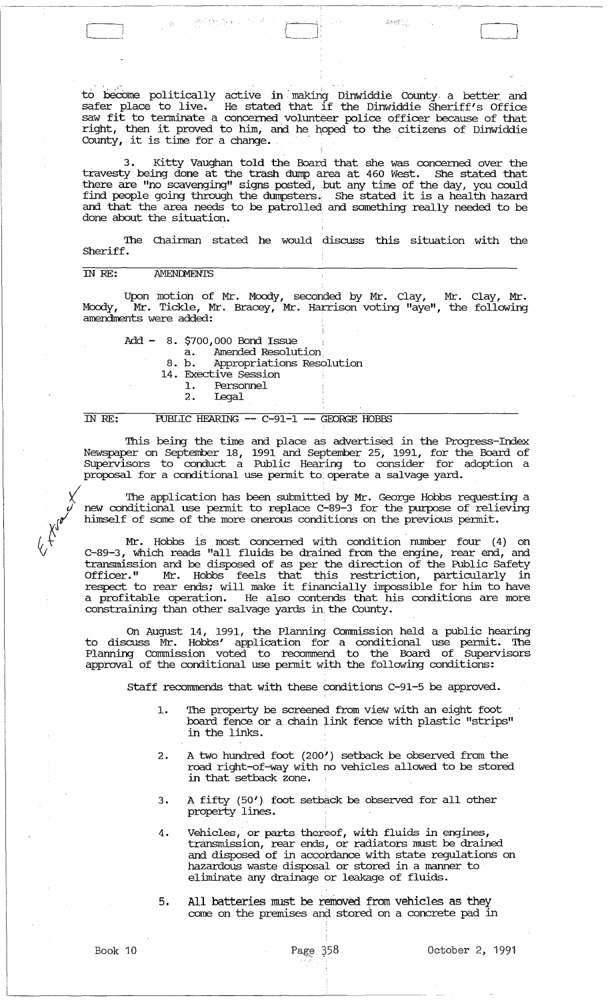to become politically active in making Dinwiddie County a better and<br>safer place to live . He stated that if the Dinviddie Sheriff(s Office safer place to live. He stated that if the Dinwiddie Sheriff's Office saw fit to terminate a concerned volunteer police officer because of that saw ite to centurate a concerned volumeer poince officer because of that<br>right, then it proved to him, and he hoped to the citizens of Dinwiddie Tight, then it proved to him, and he

L \_\_ 1- J 'L \_\_ . ' ~J

3. Kitty Vaughan told the Board that she was concerned over the travesty being done at the trash dump area at 460 West. She stated that there are "no scavenging" signs posted, but any time of the day, you could find people going through the dumpsters. She stated it is a health hazard and that the area needs to be patrolled and something really needed to be done about the situation.

The Chainnan stated he would discuss this situation with the Sheriff.

#### rn RE: **AMENDMENTS**

Upon motion of Mr. Moody, seconded by Mr. Clay, Mr. Clay, Mr. Moody, <sup>T</sup>Mr. Tickle, Mr. Bracey, Mr. Harrison voting "aye", the following amendments were added:

Add - 8. \$700,000 Bond Issue

a. Amended Resolution<br>8. b. Appropriations Reso Appropriations Resolution

14. Exective Session<br>1. Personnel

- 1. Personnel<br>2. Legal
- 2. legal

## IN RE: PUBLIC HEARING -- C-91-1 -- GEORGE HOBBS

This being the time and place as advertised. in the Progress-Index Newspaper on September 18, 1991 and September 25, 1991, for the Board of Supervisors to conduct a Public Hearing to consider for adoption a proposal for a conditional use permit to operate a salvage yard.

 $\chi$  The application has been submitted by Mr. George Hobbs requesting a  $\hat{y}$  new conditional use permit to replace C-89-3 for the purpose of relieving himself of some of the more onerous conditions on the previous permit.

Mr. Hobbs is most concerned with condition number four (4) on C-89-3, which reads "all fluids be drained from the engine, rear end, and transmission and be disposed of as per the direction of the Public Safety Officer. " Mr. Hobbs feels that this restriction, particularly in respect to rear ends; will make it financially impossible for him to have a profitable operation. He also contends that his conditions are more constraining than other salvage yards in, the County.

On August 14, 1991, the Planning Commission held a public hearing to discuss Mr. Hobbs' application for a conditional use permit. The Planning Corrrrnission voted to recommend to the Board of supervisors approval of the conditional use permit with the following conditions:

Staff recommends that with these conditions C-91-5 be approved.

- 1. The property be screened from view with an eight foot board fence or a chain link fence with plastic "strips" in the links.
- 2. A two hundred foot (200') setback be observed from the road right-of-way with no vehicles allowed to be stored in that setback zone.
- 3. A fifty (50') foot setback be observed for all other property lines. .
- 4. Vehicles, or parts thereof, with fluids in engines, transmission, rear ends, or radiators must be drained and disposed of in accordance with state regulations on hazardous waste disposal or stored in a marmer to eliminate any drainage or leakage of fluids.
- 5. All batteries must be removed from vehicles as they come on the premises and stored on a concrete pad in

 $\sqrt{7}$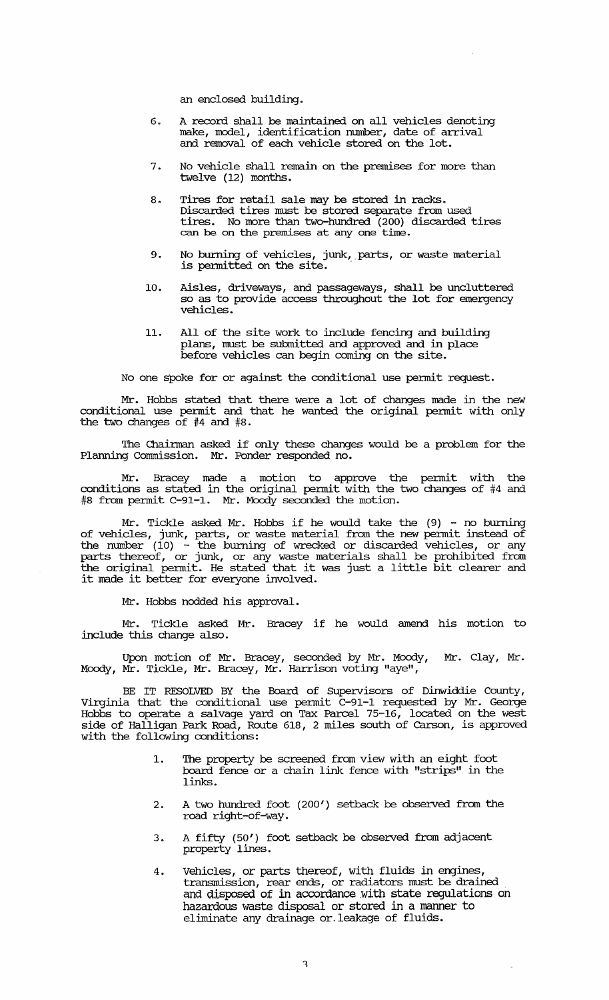an enclosed building.

- 6. A record shall be maintained. on all vehicles denoting make, model, identification number, date of arrival and  $\overline{\text{removal}}$  of each vehicle stored on the lot.
- 7. No vehicle shall remain on the premises for more than twelve (12) months.
- 8. Tires for retail sale may be stored in racks. Discarded. tires must be stored. separate from used tires. No more than two-hundred. (200) discarded. tires can be on the premises at any one time.
- 9. No burning of vehicles, junk, parts, or waste material is permitted on the site.
- 10. Aisles, driveways, and passageways, shall be uncluttered so as to provide access throughout the lot for emergency vehicles.
- 11. All of the site work to include fencing and building plans, must be submitted. and approved. and in place before vehicles can begin coming on the site.

No one spoke for or against the conditional use permit request.

Mr. Hobbs stated that there were a lot of changes made in the new conditional use permit and that he wanted. the original pennit with only the two changes of #4 and #8.

The Chairman asked if only these changes would be a problem for the Planning Commission. Mr. Ponder responded no.

Mr. Bracey made a motion to approve the permit with the conditions as stated. in the original permit with the two changes of #4 and #8 from pennit C-91-1. Mr. Moody seconded. the motion.

Mr. Tickle asked Mr. Hobbs if he would take the  $(9)$  - no burning of vehicles, junk, parts, or waste material from the new permit instead of the number  $(10)$  - the burning of wrecked or discarded vehicles, or any parts thereof, or junk, or any waste materials shall be prohibited. from the original permit. He stated. that it was just a little bit clearer and it made it better for everyone involved..

Mr. Hobbs nodded his approval.

Mr. Tickle asked. Mr. Bracey if he would amend his motion to include this change also.

Upon motion of Mr. Bracey, seconded by Mr. Moody, Mr. Clay, Mr. Moody, Mr. Tickle, Mr. Bracey, Mr. Harrison voting "aye",

BE IT RESOLVED BY the Board of SUpervisors of Dinwiddie County, Virginia that the conditional use permit C-91-1 requested. by Mr. George Hobbs to operate a salvage yard on Tax Parcel 75-16, located on the west side of Halligan Park Road, Route 618, 2 miles south of carson, is approved with the following conditions:

- 1. The property be screened from view with an eight foot board fence or a chain link fence with "strips" in the links.
- 2. A two hundred foot (200') setback be observed from the road right-of-way.
- 3. A fifty (50') foot setback be observed from adjacent property lines.
- 4. Vehicles, or parts thereof, with fluids in engines, transmission, rear ends, or radiators must be drained and disposed of in accordance with state regulations on hazardous waste disposal or stored in a marmer to eliminate any drainage or. leakage of fluids.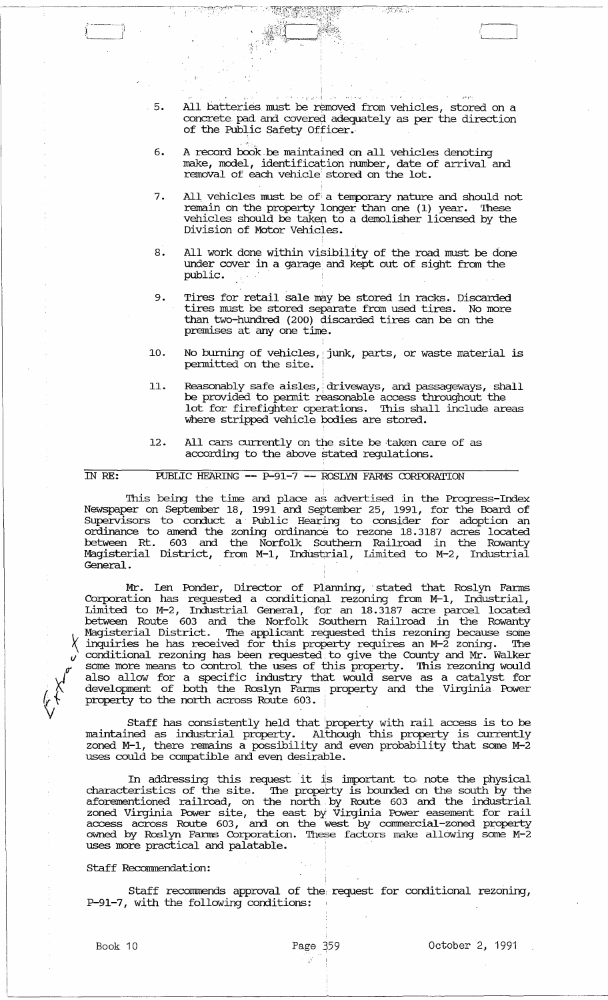<sup>J</sup>.: 5. All batteries must be removed from vehicles, stored on a concrete pad and covered adequately as per the direction of the Public Safety Officer.

 $\mathbb{R}^{n}$ 

J

- 6. A record book be maintained on all vehicles denoting make, model, identification number, date of arrival and removal of each vehicle: stored on the lot.
- 7. All vehicles must be of a temporary nature and should not remain on the property longer than one (1) year. These vehicles should be taken to a demolisher licensed by the Division of Motor Vehicles.
- 8. All work done within visibility of the road must be done under cover in a garage. and kept out of sight from the public. '
- 9. Tires for retail sale may be stored in racks. Discarded tires must be stored separate from used tires. No more than two-hundred (200) discarded tires can be on the premises at anyone time.
- 10. No burning of vehicles, junk, parts, or waste material is permitted on the site.
- 11. Reasonably safe aisles, driveways, and passageways, shall be provided to permit reasonable access throughout the lot for firefighter operations. This shall include areas where stripped vehicle bodies are stored.
- 12. All cars currently on the site be taken care of as according to the above stated regulations.

IN RE: FUBLIC HEARING **--** P-91-7 **---** ROSLYN FARMS CORroRATION

This being the time and place as advertised in the Progress-Index Newspaper on September 18, 1991 and September 25, 1991, for the Board of Supervisors to conduct a' Public Hearing to consider for adoption an ordinance to amend the zoning ordinance to rezone 18.3187 acres located between Rt. 603 and the Norfolk Southern Railroad in the Rowanty Magisterial District, from M-1, IndUstrial, Limited to M-2, Industrial General.

Mr. Len Ponder, Director of Planning, stated that Roslyn Farms Corporation has requested a conditional rezoning from M-1, Industrial, Limited to M-2, Industrial General, for an 18.3187 acre parcel located between Route 603 and the Norfolk Southern Railroad in the Rowanty Magisterial District. The applicant requested this rezoning because some '\ inquiries he has received for this property requires an M-2 zoning. The conditional rezoning has been requested to give the County and Mr. Walker some more means to control the uses of this property. This rezoning would also allow for a specific industry that would serve as a catalyst for development of both the Roslyn Fanus. property and the Virginia Power property to the north across Route 603.

Staff has consistently held that !property with rail access is to be maintained as industrial property. Although this property is currently zoned M-1, there remains a possibility and even probability that some M-2 uses could be compatible and even desirable.

In addressing this request it is important to note the physical characteristics of the site. The property is bounded on the south by the aforementioned railroad, on the north by Route 603 and the industrial zoned Virginia Power site, the east by Virginia Power easement for rail access across Route 603, and on the west by commercial-zoned property owned by Roslyn Fanus Corporation. '!hese factors make allowing some M-2 uses more practical and palatable.

#### Staff Recommendation:

Staff recomnends approval of the request for conditional rezoning, P-91-7, with the following conditions:

 $\leftarrow$   $\leftarrow$  $\downarrow$ 

'-------------------------------------------------------------------------------------------------

Ŕ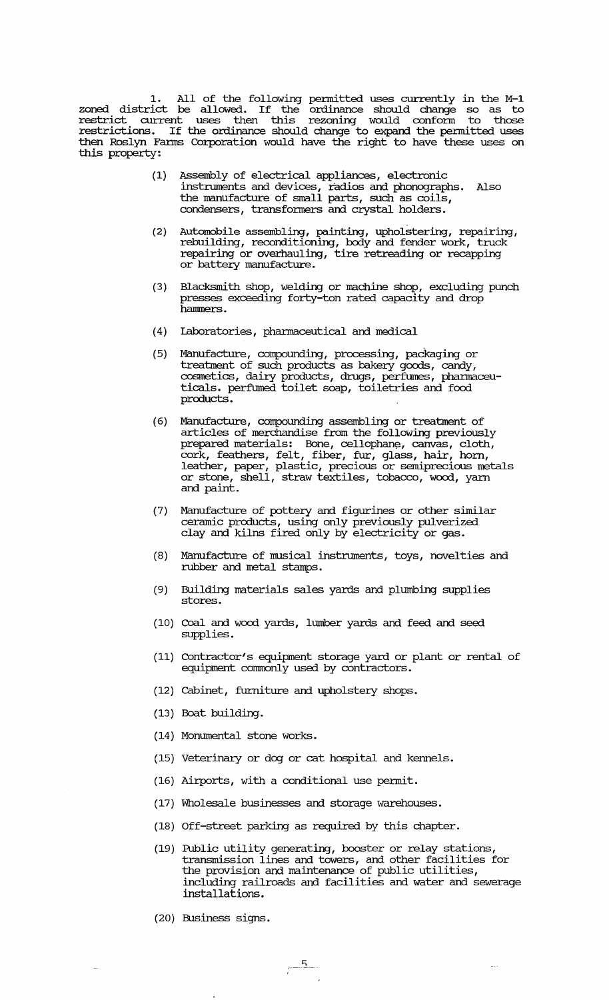1. All of the following permitted uses currently in the M-l zoned district be allowed. If the ordinance should change so as to restrict current uses then this rezoning would confonn to those restrictions. If the ordinance should change to expand the permitted uses then Roslyn Fanus Corporation would have the right to have these uses on this property:

- (1) Assembly of electrical appliances, electronic instruments and devices, radios and phonographs. Also the manufacture of small parts, such as coils, condensers, transformers and crystal holders.
- (2) Automobile assembling, painting, upholstering, repairing, rebuilding, reconditioning, body and fender work, truck repairing or overhauling, tire retreading or recapping or battery manufacture.
- (3) Blacksmith shop, welding or machine shop, excluding punch presses exceeding forty-ton rated capacity and drop hammers.
- ( 4) laboratories, pharmaceutical and medical
- (5) Manufacture, compounding, processing, packaging or treatment of such products as bakery goods, candy, cosmetics, dairy products, drugs, perfumes, pharmaceuticals. perftnned toilet soap, toiletries and food products.
- (6) Manufacture, compounding assembling or treatment of articles of merchandise from the following previously prepared materials: Bone, cellophane, canvas, cloth, cork, feathers, felt, fiber, fur, glass, hair, horn, leather, paper, plastic, precious or semiprecious metals or stone, shell, straw textiles, tobacco, wood, yarn and paint.
- (7) Manufacture of pottery and figurines or other similar ceramic products, using only previously pulverized clay and kilns fired only by electricity or gas.
- (8) Manufacture of musical instruments, toys, novelties and rubber and metal stamps.
- (9) Building materials sales yards and plumbing supplies stores.
- (10) Coal and wood yards, lumber yards and feed and seed supplies.
- (11) Contractor's equipment storage yard or plant or rental of equipment commonly used by contractors.
- (12) Cabinet, furniture and upholstery shops.
- (13) Boat building.
- (14) Monumental stone works.
- (15) Veterinary or dog or cat hospital and kennels.
- (16) Airports, with a conditional use pennit.
- (17) "Wholesale businesses and storage warehouses.
- (18) Off-street parking as required by this chapter.
- (19) Public utility generating, booster or relay stations, transmission lines and towers, and other facilities for the provision and maintenance of public utilities, including railroads and facilities and water and sewerage installations.

 $\omega_{\rm{max}}$ 

(20) Business signs.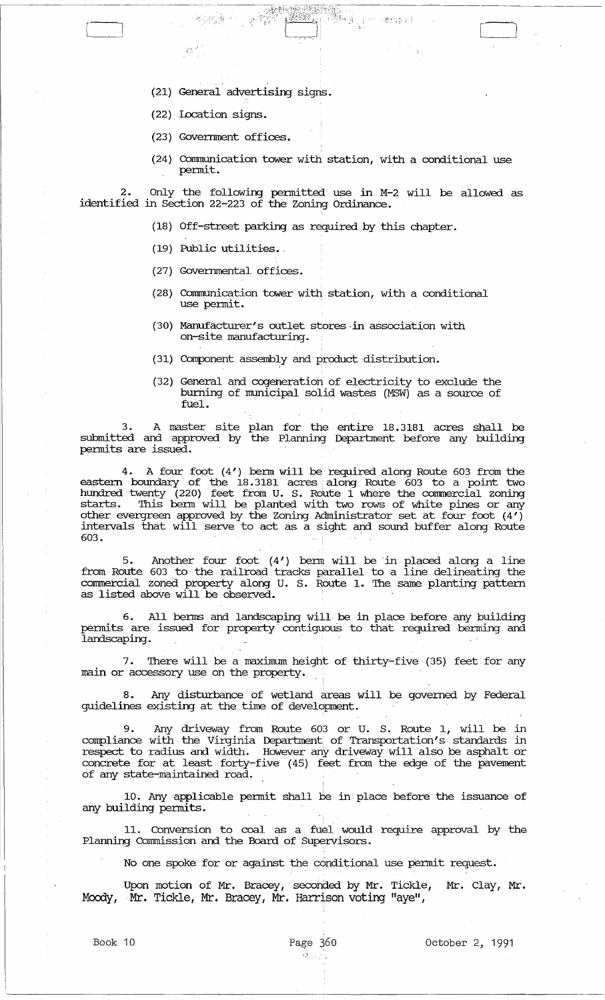- (21) General advertising signs.
- (22) Location signs.

 $A_{\rm NL}^{(2)}$ 

(23) Goverrnnent offices.

**相談者** 

(24) Communication tower with station, with a conditional use permit.

Wang

· '':':''.''','", '. , . "j" .

 $\Box$ 

2. Only the following pennitted use in M-2 will be allowed as identified in Section 22-223 of the zoning Ordinance.

- (18) Off-street parking as required by this chapter.
- (19) Public utilities ..
- (27) Governmental offices.
- (28) cormmmication tower with station, with a conditional use permit.
- (30) Manufacturer's outlet stores·in association with on-site manufacturing.
- (31) Component assembly and product distribution.
- (32) General and cogeneration of electricity to exclude the burning of municipal solid wastes (MSW) as a source of fuel.

3. A master site plan for the entire 18.3181 acres shall be submitted and approved by the Planning Department before any building pennits are issued.

4. A four foot (4') berm will be required along Route 603 from the eastern boundary of the 18.3181 acres along Route 603 to a point two hundred twenty (220) feet from U. S. Route 1 where the commercial zoning starts. This berm will be planted with two rows of white pines or any other evergreen approved by the Zoning Administrator set at four· foot (4') intervals that will serve to act as a sight and sound buffer along Route 603. .

5. Another four foot (4') berm will be in placed along a line from Route 603 to the railroad tracks parallel to a line delineating the commercial zoned property along U. S. Route 1. '!he same planting pattern as listed above will be observed.

6. All berms and landscaping will be in place before any building permits are issued for property contiguous to that required berming and landscaping. .

7. There will be a maximum height of thirty-five (35) feet for any main or accessory use on the property.

8. Any disturbance of wetland areas will be governed by Federal guidelines existing at the time of development.

9. Any driveway from Route 603 or U. S. Route 1, will be in compliance with the Virginia Department of Transportation's standards in respect to radius and width. However any driveway will also be asphalt or concrete for at least forty-five (45) feet from the edge of the pavement of anY state-maintained road.

10. Any applicable permit shall be in place before the issuance of any building pennits.

11. conversion to coal as a fuel would require approval by the Planning Commission and the Board of Supervisors.

No one spoke for or against the conditional use pennit request.

Upon motion of Mr. Bracey, seconded by Mr. Tickle, Mr. clay, Mr • Moody, Mr. Tickle, Mr. Bracey, Mr. Harrison voting "aye",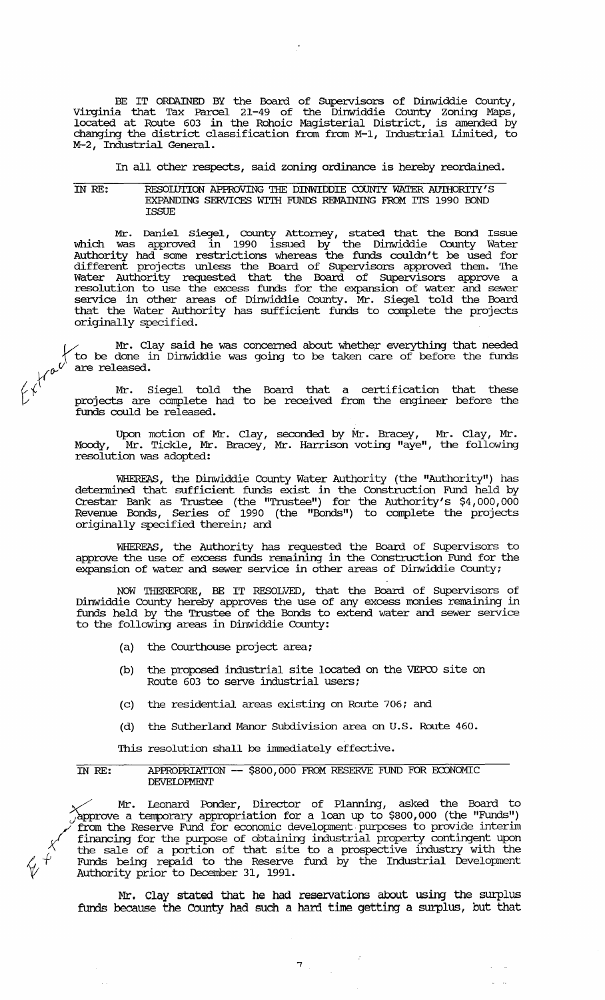BE IT ORDAINED BY the Board of SUpervisors of Dinwiddie County, Virginia that Tax Parcel 21-49 of the Dinwiddie County zoning Maps, located at Route 603 in the Rohoic Magisterial District, is amended by changing the district classification from from M-1, Industrial Limited, to M-2, Industrial General.

In all other respects, said zoning ordinance is hereby reordained.

#### IN *RE:*  RESOIDTION APPROVING THE DINWIDDIE COUNTY WATER AUIHORITY'S EXPANDING SERVICES WITH FUNDS REMAINING FROM ITS 1990 BOND **TSSUE**

Mr. Daniel siegel, county Attorney, stated that the Bond Issue which was approved in 1990 issued by the Dinwiddie County Water Authority had some restrictions whereas the funds couldn't be used for different projects unless the Board of Supervisors approved them. The Water Authority requested that the Board of Supervisors approve a resolution to use the excess funds for the expansion of water and sewer service in other areas of Dinwiddie County. Mr. Siegel told the Board that the Water Authority has sufficient funds to complete the projects originally specified.

*V Mr.* Clay said he was concerned about whether everything that needed<br>to be done in Dinwiddie was going to be taken care of before the funds<br>are released.<br>Mr. Siegel told the 1 to be done in Dinwiddie was going to be taken care of before the funds are released.

 $\left\{\begin{matrix} t \end{matrix}\right\}$  . Siegel told the Board that a certification that these projects are complete had to be received from the engineer before the funds could be released.

> Upon motion of Mr. Clay, seconded by Mr. Bracey, Mr. Clay, Mr • Moody, Mr. Tickle, Mr. Bracey, Mr. Harrison voting "aye", the following resolution was adopted:

> WHEREAS, the Dinwiddie County Water Authority (the "Authority") has detennined that sufficient funds exist in the Construction Fund held by Crestar Bank as Trustee (the "Trustee") for the Authority's \$4,000,000 Revenue Bonds, Series of 1990 (the "Bonds") to complete the projects originally specified therein; and

> WHEREAS, the Authority has requested the Board of Supervisors to approve the use of excess funds remaining in the construction Fund for the expansion of water and sewer service in other areas of Dinwiddie County;

> NOW THEREFORE, BE IT RESOLVED, that the Board of Supervisors of Dinwiddie County hereby approves the use of any excess monies remaining in funds held by the Trustee of the Bonds to extend water and sewer service to the following areas in Dinwiddie County:

- (a) the Courthouse project area;
- (b) the proposed industrial site located on the VEPCO site on Route 603 to serve industrial users;
- (c) the residential areas existing on Route 706; and
- (d) the Sutherland Manor Subdivision area on U.S. Route 460.

This resolution shall be immediately effective.

IN *RE:*  APPROPRIATION -- \$800,000 FROM RESERVE FUND FOR ECONOMIC **DEVELOPMENT** 

~ Mr. Leonard Ponder, Director of Planning, asked the Board to  $\gamma$ approve a temporary appropriation for a loan up to \$800,000 (the "Funds") /' from the Reserve Fund for economic development· purposes to provide interim financing for the purpose of obtaining industrial property contingent upon the sale of a portion of that site to a prospective industry with the 4- Funds being repaid to the Reserve fund by the Industrial Development Authority prior to December 31, 1991.

Mr. Clay stated that he had reservations about using the surplus funds because the County had such a hard time getting a surplus, but that

7

 $\alpha = 1$  ,  $\alpha$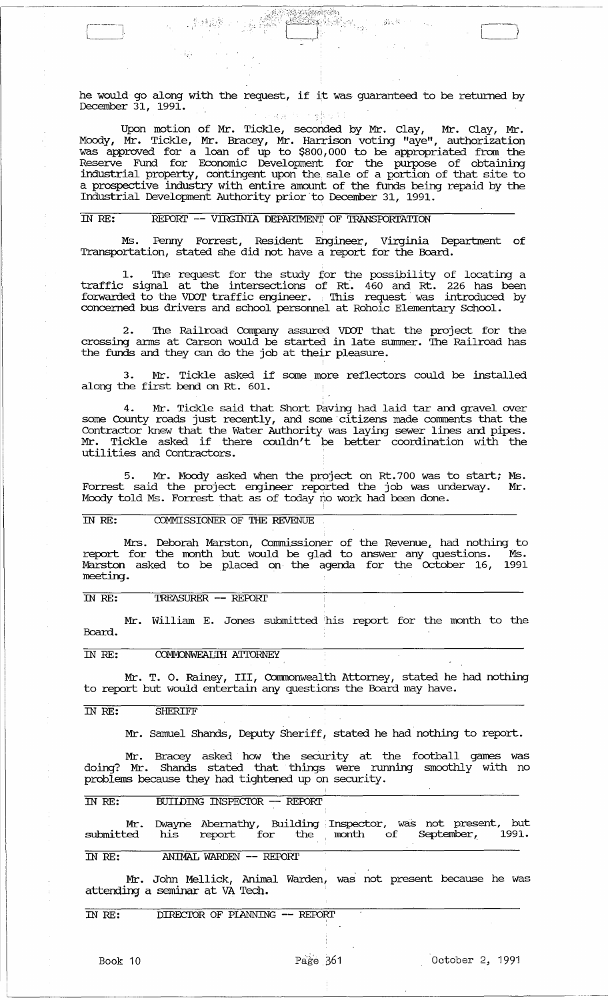he would go along with the request, if it was guaranteed to be returned by December 31, 1991. 医一种糖尿病  $\mathcal{A}^{\mathcal{A}}(\mathcal{A})$  .

 $\sim 46$ 

 $\mathcal{L}^{\text{in}}(\mathcal{L}^{\text{in}})$ 

 $\begin{bmatrix} \end{bmatrix}$ 

Upon motion of Mr. Tickle, seconded by Mr. Clay, Mr. Clay, Mr. Mcxxly, Mr. Tickle, Mr. Bracey, Mr. Harrison voting "aye", authorization was approved for a loan of up to \$800,000 to be appropriated from the Reserve Fund for Economic Development for the purpose of obtaining industrial property, contingent upon the. sale of a portion of that site to a prospective industry with entire amount of the funds being repaid by the Industrial Development Authority prior ·to December 31, 1991.

## IN RE: REPORT -- VIRGINIA DEPARTMENT OF TRANSPORTATION

 $\label{eq:4} \frac{1}{\sqrt{2}}\sum_{i=1}^n\frac{1}{\sqrt{2}}\sum_{i=1}^n\frac{1}{\sqrt{2}}\sum_{i=1}^n\frac{1}{\sqrt{2}}\sum_{i=1}^n\frac{1}{\sqrt{2}}\sum_{i=1}^n\frac{1}{\sqrt{2}}\sum_{i=1}^n\frac{1}{\sqrt{2}}\sum_{i=1}^n\frac{1}{\sqrt{2}}\sum_{i=1}^n\frac{1}{\sqrt{2}}\sum_{i=1}^n\frac{1}{\sqrt{2}}\sum_{i=1}^n\frac{1}{\sqrt{2}}\sum_{i=1}^n\frac{1$ 

Ms. Penny Forrest, Resident Engineer, Virginia Department of Transportation, stated she did· not have a report for the Board.

1. The request for the study for the possibility of locating a traffic signal at the intersections of Rt. 460 and Rt. 226 has been forwarded to the VDOT traffic engineer. This request was introduced by concerned bus drivers and school personnel at Rohoic Elementary School.

2. The Railroad Company assured VDOT that the project for the crossing arms at Carson would be started in late summer. The Railroad has the funds and they can do the job at their pleasure.

3. Mr. Tickle asked if some more reflectors could be installed along the first bend on Rt. 601.

4. Mr. Tickle said that Short Paving had laid tar and gravel over some County roads just recently, and some citizens made comments that the Contractor knew that the Water Authority was laying sewer lines and pipes. Mr. Tickle asked if there couldn't be better coordination with the utilities and Contractors.

5. Mr. Moody asked when the project on Rt.700 was to start; Ms. Forrest said the project engineer reported the job was underway. Mr. Mcxxly told Ms. Forrest that as of today no work had been done.

#### IN RE: COMMISSIONER OF THE REVENUE

Mrs. Deborah Marston, Commissioner of the Revenue, had nothing to report for the month but would be glad to answer any questions. Ms. Marston asked to be placed on· the agenda for the october 16, 1991 meeting.

IN RE: TREASURER -- REPORT

Mr. William E. Jones submitted his report for the month to the Board.

## IN RE: COMMONWEALTH ATTORNEY

Mr. T. O. Rainey, III, Commonwealth Attorney, stated he had nothing to report but would entertain any questions the Board may have.

#### IN RE: SHERIFF

 $\sqrt{a^2+a^2}$  $\Box$ 

Mr. Samuel Shands, Deputy Sheriff, stated he had nothing to report.

Mr. Bracey asked how the security at the football games was doing? Mr. Shands stated that things were running smoothly with no problems because they had tightened up on security.

## IN RE: BUIIDING INSPECTOR -- REPORT

|                                                        |  |  | Mr. Dwayne Abernathy, Building Inspector, was not present, but |  |  |
|--------------------------------------------------------|--|--|----------------------------------------------------------------|--|--|
| submitted his report for the month of September, 1991. |  |  |                                                                |  |  |

## IN RE: ANIMAL WARDEN -- REPORT

Mr. John Mellick, Animal Warden, was not present because he was attending a seminar at VA Tech.

IN RE: DIRECTOR OF PIANNING -- REPORT

 $L_{\rm L}$  , and the contract of the contract of the contract of the contract of the contract of the contract of the contract of the contract of the contract of the contract of the contract of the contract of the contract o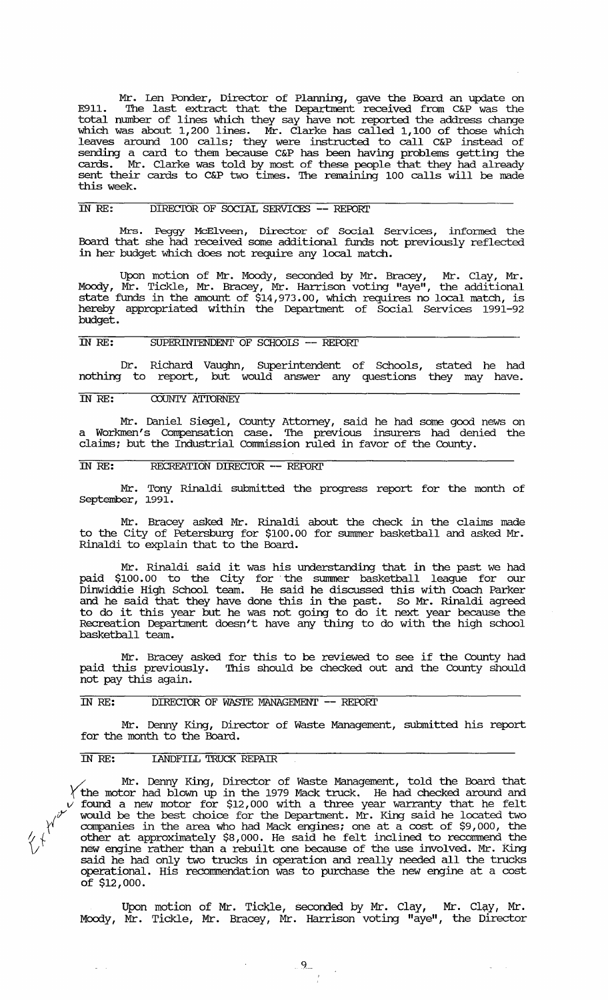Mr. Len Ponder, Director of Planning, gave the Board an update on E911. The last extract that the Department received from C&P was the total number of lines which they say have not reported the address change which was about 1,200 lines. Mr. Clarke has called 1,100 of those which leaves around 100 calls; they were instructed to call C&P instead of sending a card to them because C&P has been having problems getting the cards. Mr. Clarke was told by most of these people that they had already sent their cards to C&P two times. The remaining 100 calls will be made this week.

## IN RE: DIRECIOR OF SOCIAL SERVICES -- REroRl'

Mrs. Peggy McElveen, Director of Social Services, infonned the Board that she had received some additional funds not previously reflected in her budget which does not require any local match.

Upon motion of Mr. Moody, seconded by Mr. Bracey, Mr. Clay, Mr • Moody, Mr. Tickle, Mr. Bracey, Mr. Harrison voting "aye", the additional state funds in the amount of \$14,973.00, which requires no local match, is hereby appropriated within the Department of Social Services 1991-92 budget.

## IN RE: SUPERINTENDENT OF SCHOOLS -- REPORT

Dr. Richard Vaughn, SUperintendent of Schools, nothing to report, but would answer any questions stated he had they may have.

## IN RE: COUNTY ATIDRNEY

Mr. Daniel siegel, County Attorney, said he had some good news on a Workmen's Compensation case. '!he previous insurers had denied the claims; but the Industrial commission ruled in favor of the County.

# IN RE: RECREATION DIRECTOR -- REPORT

Mr. Tony Rinaldi submitted the progress report for the month of September, 1991.

Mr. Bracey asked Mr. Rinaldi about the check in the claims made to the City of Petersburg for \$100.00 for summer basketball and asked Mr. Rinaldi to explain that to the Board.

Mr. Rinaldi said it was his understanding that in the past we had paid \$100.00 to the City for· the sunnner basketball league for our Dinwiddie High School team. He said he discussed this with Coach Parker and he said that they have done this in the past. So Mr. Rinaldi agreed to do it this year but he was not going to do it next year because the Recreation Department doesn't have any thing to do with the high school basketball team.

Mr. Bracey asked for this to be reviewed to see if the County had paid this previously. This should be checked out and the County should paid this previously.<br>not pay this again.

## IN RE: DIRECTOR OF WASTE MANAGEMENT -- REPORT

Mr. Denny King, Director of Waste Management, submitted his report for the month to the Board.

## IN RE: LANDFILL TRUCK REPAIR

Mr. Denny King, Director of Waste Management, told the Board that  $\gamma$  the motor had blown up in the 1979 Mack truck. He had checked around and *v* found a new motor for \$12,000 with a three year warranty that he felt would be the best choice for the Department. Mr. King said he located two companies in the area who had Mack engines; one at a cost of \$9,000, the *I*; companies in the area who had Mack engines; one at a cost of \$9,000, the  $\sqrt[4]{\sqrt{2}}$  other at approximately \$8,000. He said he felt inclined to recommend the  $V^{\dagger}$  new engine rather than a rebuilt one because of the use involved. Mr. King said he had only two trucks in operation and really needed all the trucks operational. His reconnnendation was to purchase the new engine at a cost of \$12,000.

Upon motion of Mr. Tickle, seconded by Mr. Clay, Mr. Clay, Mr. Moody, Mr. Tickle, Mr. Bracey, Mr. Harrison voting "aye", the Director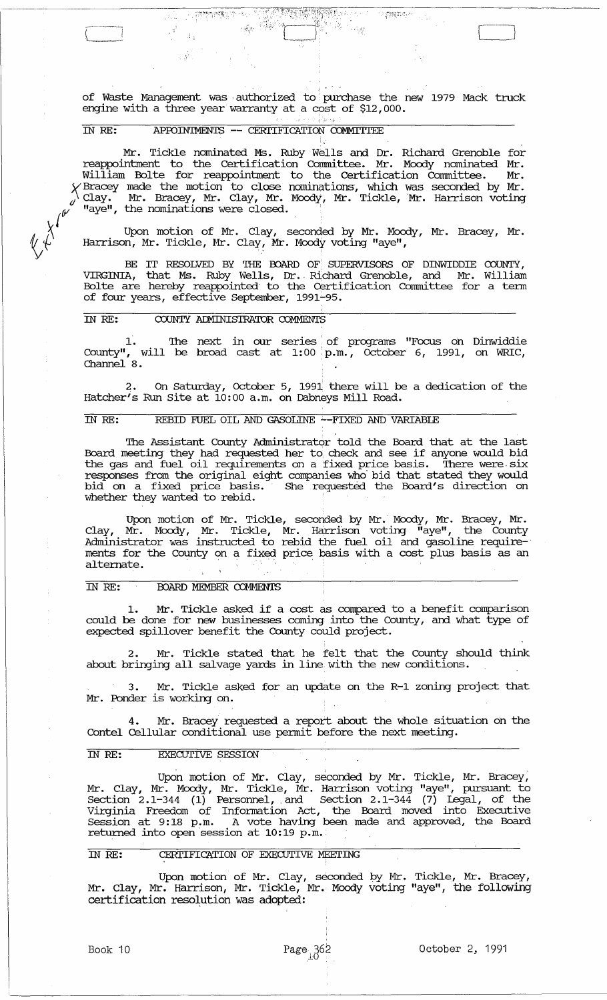$_1$  .  $^{\circ}$ of Waste Management was . authorized to' purchase the new 1979 Mack truck engine with a three year warranty at a cost of \$12,000.

1';· ".i

 $\Box$ 

12 管理的条件

## IN RE: APfOIN'IMENTS **--** CERl'IFICATION COMMI'ITEE

 $\mathcal{A}$  .

 $\mathbb{R}[\hat{y}^2]$ 

Mr. Tickle nominated Ms. Ruby Wells and Dr. Richard Grenoble for reappointment to the certification Connnittee. Mr. Moody nominated Mr. William Bolte for reappointment to the Certification Committee. Mr.  $\chi$  Bracey made the motion to close nominations, which was seconded by Mr.  $\sqrt{2}$  Clay. Mr. Bracey, Mr. Clay, Mr. Moody, Mr. Tickle, Mr. Harrison voting  $\mathscr{A}$  "aye", the nominations were closed.  $\blacksquare$ 

Upon motion of Mr. Clay, seconded by Mr. Moody, Mr. Bracey, Mr • Harrison, Mr. Tickle, Mr. Clay, Mr. Moody voting "aye",

BE IT RESOLVED BY THE BOARD OF SUPERVISORS OF DINWIDDIE COUNTY, VIRGINIA, that Ms. Ruby Wells, Dr .. Richard Grenoble, and Mr. William Bolte are hereby reappointed to the certification Connnittee for a term of four years, effective September, 1991~95.

## IN RE: COUNTY ADMINISTRATOR COMMENTS

 $\chi^{\chi^{\prime^{\nu}}}$ 

1. The next in our series of programs "Focus on Dinwiddie  $\text{County''}, \text{ will be broad cast at } 1:00 \text{ p.m.}, \text{ October } 6, 1991, \text{ on WRIC},$ Channel 8.

2. On Saturday, October 5, 1991 there will be a dedication of the Hatcher's Run site at 10:00 a.m. on Dabneys Mill Road.

#### IN RE: REBID FUEL OIL AND GASOLINE '--FIXED AND VARIABLE

The Assistant County Administrator told the Board that at the last Board meeting they had requested her to. check and see if anyone would bid the gas and fuel oil requirements on a fixed price basis. There were· six responses from the original eight companies who· bid that stated they would bid on a fixed price basis. She requested the Board's direction on whether they wanted to rebid.

Upon motion of Mr. Tickle, seconded by Mr. Moody, Mr. Bracey, Mr. Clay, Mr. Moody, Mr. Tickle, Mr. Harrison voting "aye", the County Administrator was instructed to rebid the fuel oil and gasoline requirements for the County on a fixed price basis with a cost plus basis as an alternate.

#### IN RE: BOARD MEMBER COMMENTS

1. Mr. Tickle asked if a cost as compared to a benefit comparison could be done for new businesses coming into the County, and what type of expected spillover benefit the County could project.

2. Mr. Tickle stated that he felt that the County should think about bringing all salvage yards in line with the new conditions.

3. Mr. Tickle asked for an update on the R-1 zoning project that Mr. Ponder is working on.

4. Mr. Bracey requested a report about the whole situation on the Contel Cellular conditional use pennit before the next meeting.

#### IN RE: EXECUTIVE SESSION

Upon motion of Mr. Clay, seconded by Mr. Tickle, Mr. Bracey, Mr. Clay, Mr. Moody, Mr. Tickle, Mr. Harrison voting "aye", pursuant to Section  $2.1-344$  (1) Personnel, and Section  $2.1-344$  (7) Legal, of the Virginia Freedom of Information Act, the Board moved into Executive Session at 9:18 p.m. A vote having been made and approved, the Board returned into open session at 10:19 p.m.

#### IN RE: CERTIFICATION OF EXECUTIVE MEETING

Upon motion of Mr. Clay, seconded by Mr. Tickle, Mr. Bracey, Mr. Clay, Mr. Harrison, Mr. Tickle, Mr. Moody voting "aye", the following certification resolution was adopted: